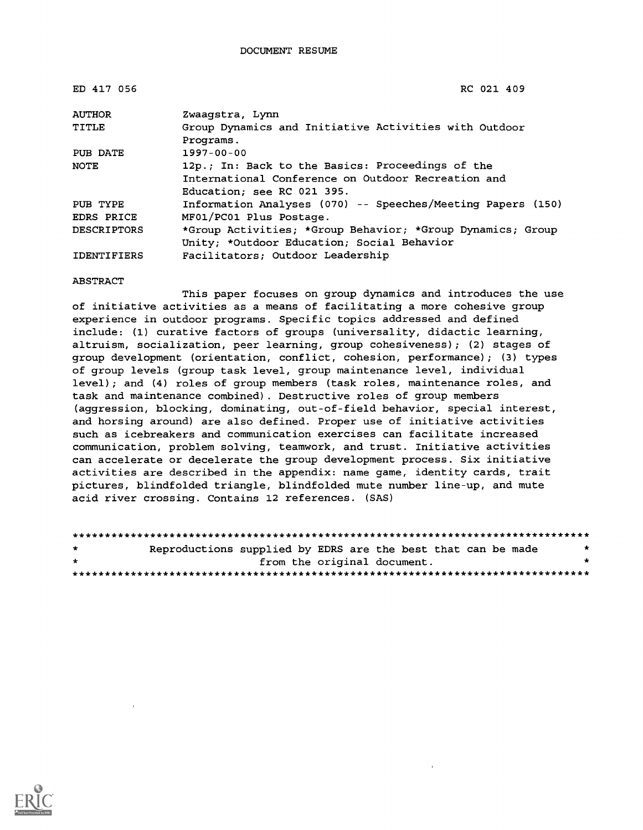| ED 417 056         | RC 021 409                                                  |
|--------------------|-------------------------------------------------------------|
| <b>AUTHOR</b>      | Zwaaqstra, Lynn                                             |
| TITLE              | Group Dynamics and Initiative Activities with Outdoor       |
|                    | Programs.                                                   |
| PUB DATE           | $1997 - 00 - 00$                                            |
| NOTE               | 12p.; In: Back to the Basics: Proceedings of the            |
|                    | International Conference on Outdoor Recreation and          |
|                    | Education: see RC 021 395.                                  |
| PUB TYPE           | Information Analyses (070) -- Speeches/Meeting Papers (150) |
| <b>EDRS PRICE</b>  | MF01/PC01 Plus Postage.                                     |
| <b>DESCRIPTORS</b> | *Group Activities; *Group Behavior; *Group Dynamics; Group  |
|                    | Unity; *Outdoor Education; Social Behavior                  |
| <b>IDENTIFIERS</b> | Facilitators; Outdoor Leadership                            |

#### ABSTRACT

This paper focuses on group dynamics and introduces the use of initiative activities as a means of facilitating a more cohesive group experience in outdoor programs. Specific topics addressed and defined include: (1) curative factors of groups (universality, didactic learning, altruism, socialization, peer learning, group cohesiveness); (2) stages of group development (orientation, conflict, cohesion, performance); (3) types of group levels (group task level, group maintenance level, individual level); and (4) roles of group members (task roles, maintenance roles, and task and maintenance combined). Destructive roles of group members (aggression, blocking, dominating, out-of-field behavior, special interest, and horsing around) are also defined. Proper use of initiative activities such as icebreakers and communication exercises can facilitate increased communication, problem solving, teamwork, and trust. Initiative activities can accelerate or decelerate the group development process. Six initiative activities are described in the appendix: name game, identity cards, trait pictures, blindfolded triangle, blindfolded mute number line-up, and mute acid river crossing. Contains 12 references. (SAS)

| $\pm$ | Reproductions supplied by EDRS are the best that can be made |                             |  |  |  |
|-------|--------------------------------------------------------------|-----------------------------|--|--|--|
| $\pm$ |                                                              | from the original document. |  |  |  |
|       |                                                              |                             |  |  |  |

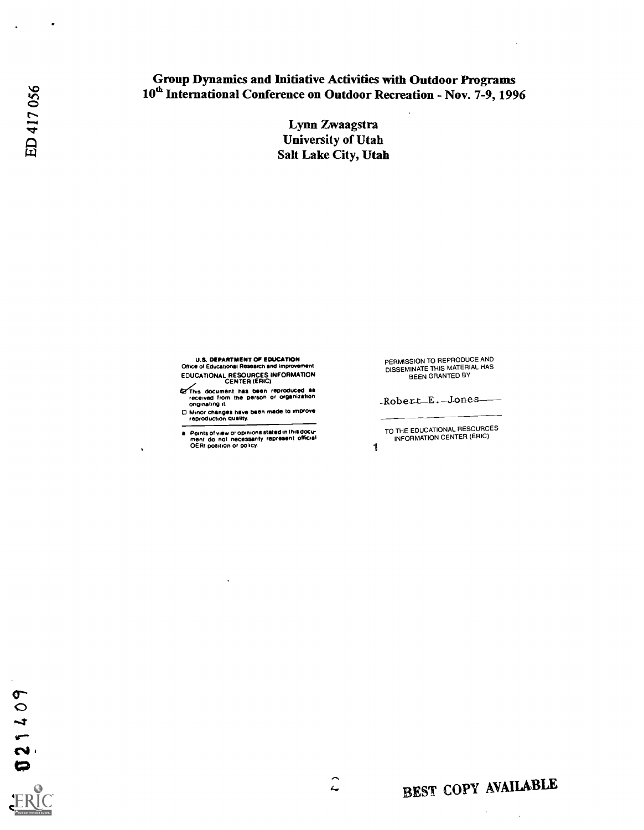## Group Dynamics and Initiative Activities with Outdoor Programs 10<sup>th</sup> International Conference on Outdoor Recreation - Nov. 7-9, 1996

Lynn Zwaagstra **University of Utah** Salt Lake City, Utah

U.S. DEPARTMENT OF EDUCATION Office of Educationist Research and Improvement

EDUCATIONAL RESOURCES INFORMATION CENTER (ERIC)

- **Extinue document has been reproduced as<br>received from the person or organization**<br>originating it.
- O Minor changes have been made to improve reproduction quality.
- Points of view or opinions stated in this docu-<br>ment do not necessarily represent official<br>OERI position or policy 1999

PERMISSION TO REPRODUCE AND DISSEMINATE THIS MATERIAL HAS BEEN GRANTED BY

Robert\_E.\_Jones

TO THE EDUCATIONAL RESOURCES INFORMATION CENTER (ERIC)

021409

# BEST COPY AVAILABLE

 $\ddot{\phantom{a}}$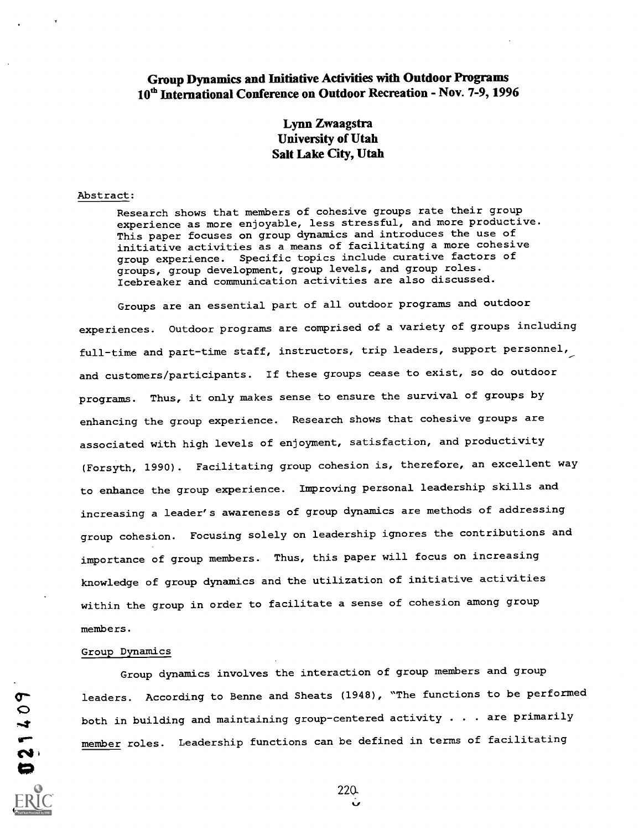### Group Dynamics and Initiative Activities with Outdoor Programs 10<sup>th</sup> International Conference on Outdoor Recreation - Nov. 7-9, 1996

## Lynn Zwaagstra University of Utah Salt Lake City, Utah

#### Abstract:

Research shows that members of cohesive groups rate their group experience as more enjoyable, less stressful, and more productive. This paper focuses on group dynamics and introduces the use of initiative activities as a means of facilitating a more cohesive group experience. Specific topics include curative factors of groups, group development, group levels, and group roles. Icebreaker and communication activities are also discussed.

Groups are an essential part of all outdoor programs and outdoor experiences. Outdoor programs are comprised of a variety of groups including full-time and part-time staff, instructors, trip leaders, support personnel, and customers/participants. If these groups cease to exist, so do outdoor programs. Thus, it only makes sense to ensure the survival of groups by enhancing the group experience. Research shows that cohesive groups are associated with high levels of enjoyment, satisfaction, and productivity (Forsyth, 1990). Facilitating group cohesion is, therefore, an excellent way to enhance the group experience. Improving personal leadership skills and increasing a leader's awareness of group dynamics are methods of addressing group cohesion. Focusing solely on leadership ignores the contributions and importance of group members. Thus, this paper will focus on increasing knowledge of group dynamics and the utilization of initiative activities within the group in order to facilitate a sense of cohesion among group members.

#### Group Dynamics

4;)

Group dynamics involves the interaction of group members and group leaders. According to Benne and Sheats (1948), "The functions to be performed both in building and maintaining group-centered activity  $\ldots$  are primarily member roles. Leadership functions can be defined in terms of facilitating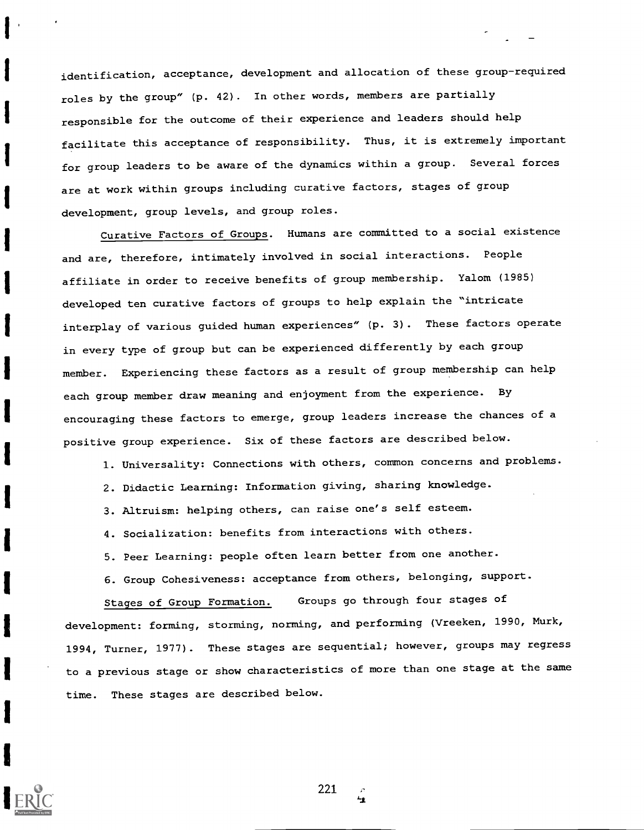identification, acceptance, development and allocation of these group-required roles by the group" (p. 42). In other words, members are partially responsible for the outcome of their experience and leaders should help facilitate this acceptance of responsibility. Thus, it is extremely important for group leaders to be aware of the dynamics within a group. Several forces are at work within groups including curative factors, stages of group development, group levels, and group roles.

Curative Factors of Groups. Humans are committed to a social existence and are, therefore, intimately involved in social interactions. People affiliate in order to receive benefits of group membership. Yalom (1985) developed ten curative factors of groups to help explain the "intricate interplay of various guided human experiences" (p. 3). These factors operate in every type of group but can be experienced differently by each group member. Experiencing these factors as a result of group membership can help each group member draw meaning and enjoyment from the experience. By encouraging these factors to emerge, group leaders increase the chances of a positive group experience. Six of these factors are described below.

1. Universality: Connections with others, common concerns and problems.

2. Didactic Learning: Information giving, sharing knowledge.

3. Altruism: helping others, can raise one's self esteem.

4. Socialization: benefits from interactions with others.

5. Peer Learning: people often learn better from one another.

6. Group Cohesiveness: acceptance from others, belonging, support.

Stages of Group Formation. Groups go through four stages of development: forming, storming, norming, and performing (Vreeken, 1990, Murk, 1994, Turner, 1977). These stages are sequential; however, groups may regress to a previous stage or show characteristics of more than one stage at the same time. These stages are described below.

221

 $\mathbf{H}$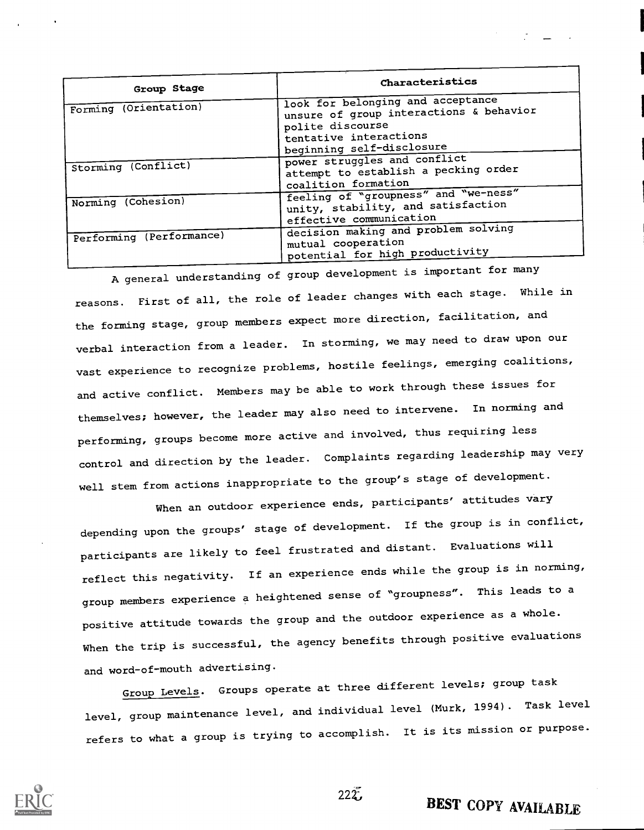| Group Stage              | Characteristics                                                                                                                                         |
|--------------------------|---------------------------------------------------------------------------------------------------------------------------------------------------------|
| Forming (Orientation)    | look for belonging and acceptance<br>unsure of group interactions & behavior<br>polite discourse<br>tentative interactions<br>beginning self-disclosure |
| Storming (Conflict)      | power struggles and conflict<br>attempt to establish a pecking order<br>coalition formation                                                             |
| Norming (Cohesion)       | feeling of "groupness" and "we-ness"<br>unity, stability, and satisfaction<br>effective communication                                                   |
| Performing (Performance) | decision making and problem solving<br>mutual cooperation<br>potential for high productivity                                                            |

A general understanding of group development is important for many reasons. First of all, the role of leader changes with each stage. While in the forming stage, group members expect more direction, facilitation, and verbal interaction from a leader. In storming, we may need to draw upon our vast experience to recognize problems, hostile feelings, emerging coalitions, and active conflict. Members may be able to work through these issues for themselves; however, the leader may also need to intervene. In norming and performing, groups become more active and involved, thus requiring less control and direction by the leader. Complaints regarding leadership may very well stem from actions inappropriate to the group's stage of development.

When an outdoor experience ends, participants' attitudes vary depending upon the groups' stage of development. If the group is in conflict, participants are likely to feel frustrated and distant. Evaluations will reflect this negativity. If an experience ends while the group is in norming, group members experience a heightened sense of "groupness". This leads to a positive attitude towards the group and the outdoor experience as a whole. When the trip is successful, the agency benefits through positive evaluations and word-of-mouth advertising.

Group Levels. Groups operate at three different levels; group task level, group maintenance level, and individual level (Murk, 1994). Task level refers to what a group is trying to accomplish. It is its mission or purpose.



 $222.$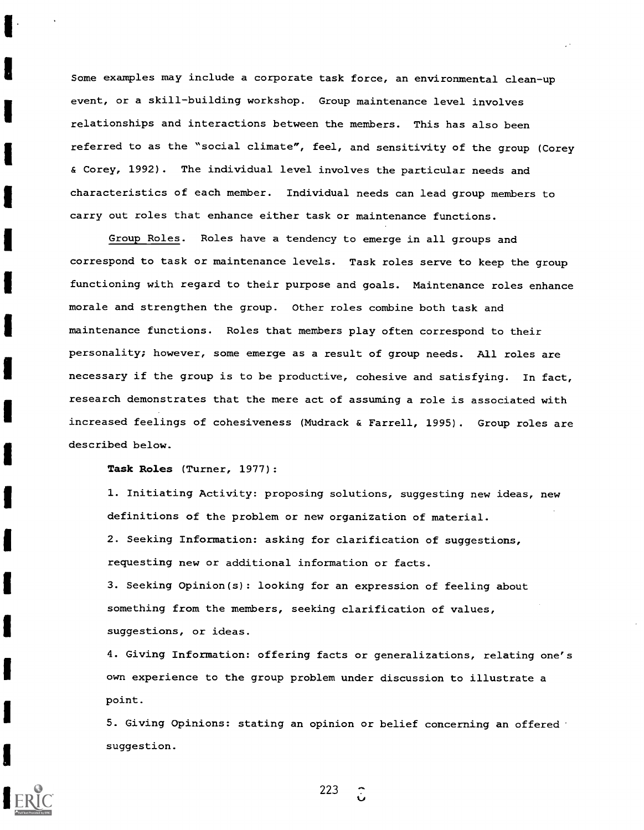Some examples may include a corporate task force, an environmental clean-up event, or a skill-building workshop. Group maintenance level involves relationships and interactions between the members. This has also been referred to as the "social climate", feel, and sensitivity of the group (Corey & Corey, 1992). The individual level involves the particular needs and characteristics of each member. Individual needs can lead group members to carry out roles that enhance either task or maintenance functions.

Group Roles. Roles have a tendency to emerge in all groups and correspond to task or maintenance levels. Task roles serve to keep the group functioning with regard to their purpose and goals. Maintenance roles enhance morale and strengthen the group. Other roles combine both task and maintenance functions. Roles that members play often correspond to their personality; however, some emerge as a result of group needs. All roles are necessary if the group is to be productive, cohesive and satisfying. In fact, research demonstrates that the mere act of assuming a role is associated with increased feelings of cohesiveness (Mudrack & Farrell, 1995). Group roles are described below.

Task Roles (Turner, 1977):

1. Initiating Activity: proposing solutions, suggesting new ideas, new definitions of the problem or new organization of material. 2. Seeking Information: asking for clarification of suggestions, requesting new or additional information or facts.

3. Seeking Opinion(s): looking for an expression of feeling about something from the members, seeking clarification of values, suggestions, or ideas.

4. Giving Information: offering facts or generalizations, relating one's own experience to the group problem under discussion to illustrate a point.

5. Giving Opinions: stating an opinion or belief concerning an offered suggestion.

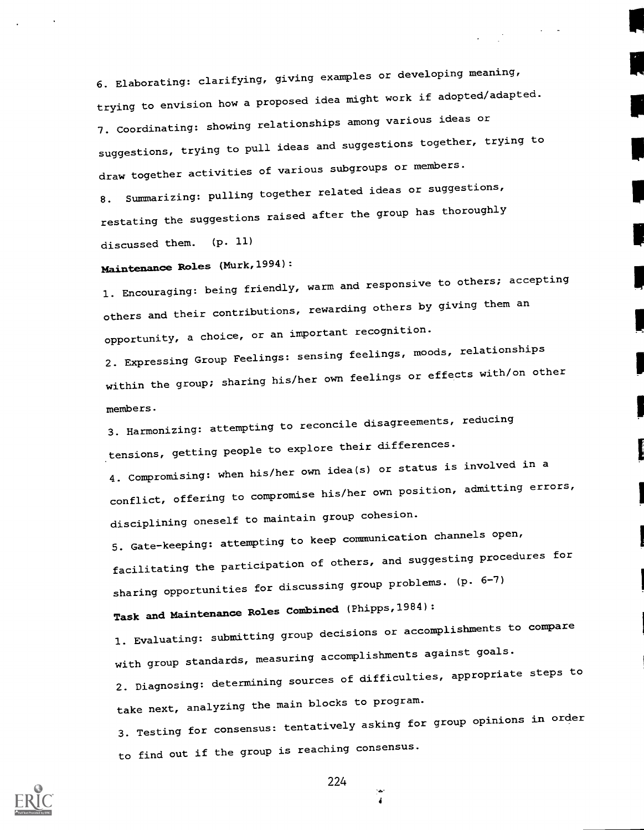6. Elaborating: clarifying, giving examples or developing meaning, trying to envision how a proposed idea might work if adopted/adapted. 7. Coordinating: showing relationships among various ideas or suggestions, trying to pull ideas and suggestions together, trying to draw together activities of various subgroups or members.

8. Summarizing: pulling together related ideas or suggestions, restating the suggestions raised after the group has thoroughly discussed them. (p. 11)

## Maintenance Roles (Murk,1994):

1. Encouraging: being friendly, warm and responsive to others; accepting others and their contributions, rewarding others by giving them an opportunity, a choice, or an important recognition.

2. Expressing Group Feelings: sensing feelings, moods, relationships within the group; sharing his/her own feelings or effects with/on other members.

3. Harmonizing: attempting to reconcile disagreements, reducing tensions, getting people to explore their differences.

4. Compromising: when his/her own idea(s) or status is involved in a conflict, offering to compromise his/her own position, admitting errors, disciplining oneself to maintain group cohesion.

5. Gate-keeping: attempting to keep communication channels open, facilitating the participation of others, and suggesting procedures for sharing opportunities for discussing group problems. (p. 6-7)

Task and Maintenance Roles Combined (Phipps,1984):

1. Evaluating: submitting group decisions or accomplishments to compare with group standards, measuring accomplishments against goals. 2. Diagnosing: determining sources of difficulties, appropriate steps to take next, analyzing the main blocks to program. 3. Testing for consensus: tentatively asking for group opinions in order to find out if the group is reaching consensus.



224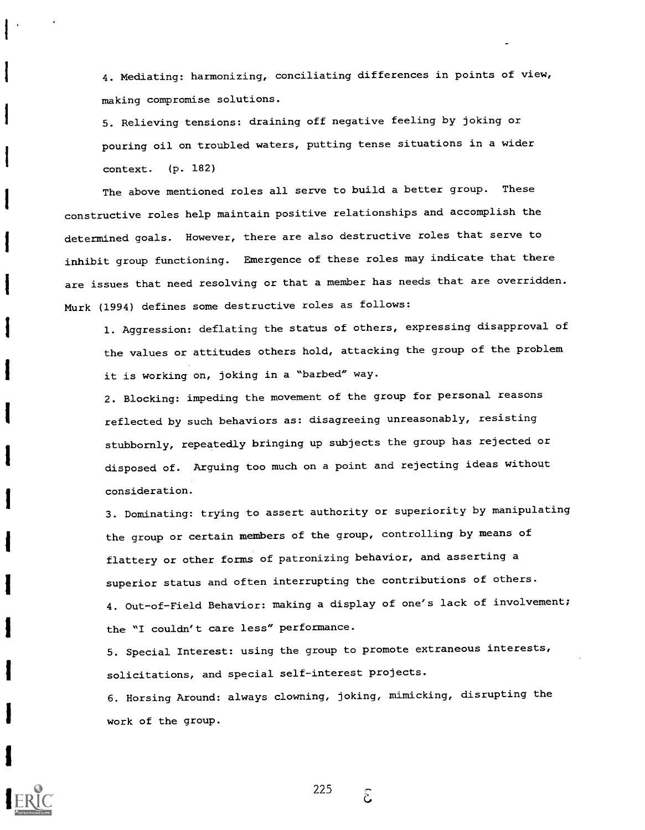4. Mediating: harmonizing, conciliating differences in points of view, making compromise solutions.

5. Relieving tensions: draining off negative feeling by joking or pouring oil on troubled waters, putting tense situations in a wider context. (p. 182)

The above mentioned roles all serve to build a better group. These constructive roles help maintain positive relationships and accomplish the determined goals. However, there are also destructive roles that serve to inhibit group functioning. Emergence of these roles may indicate that there are issues that need resolving or that a member has needs that are overridden. Murk (1994) defines some destructive roles as follows:

1. Aggression: deflating the status of others, expressing disapproval of the values or attitudes others hold, attacking the group of the problem it is working on, joking in a "barbed" way.

2. Blocking: impeding the movement of the group for personal reasons reflected by such behaviors as: disagreeing unreasonably, resisting stubbornly, repeatedly bringing up subjects the group has rejected or disposed of. Arguing too much on a point and rejecting ideas without consideration.

3. Dominating: trying to assert authority or superiority by manipulating the group or certain members of the group, controlling by means of flattery or other forms of patronizing behavior, and asserting a superior status and often interrupting the contributions of others. 4. Out-of-Field Behavior: making a display of one's lack of involvement; the "I couldn't care less" performance.

5. Special Interest: using the group to promote extraneous interests, solicitations, and special self-interest projects.

6. Horsing Around: always clowning, joking, mimicking, disrupting the work of the group.



225

 $\tilde{\mathcal{E}}$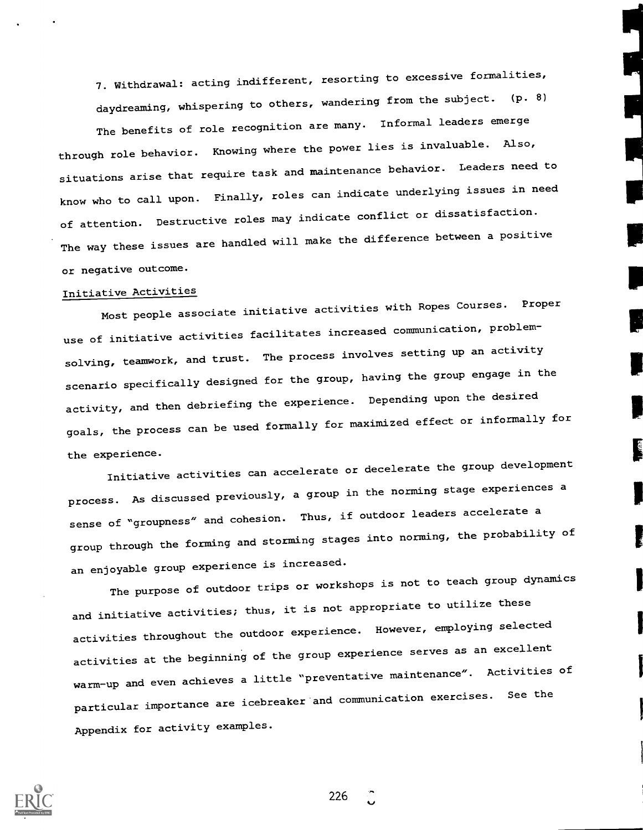7. Withdrawal: acting indifferent, resorting to excessive formalities, daydreaming, whispering to others, wandering from the subject. (p. 8) The benefits of role recognition are many. Informal leaders emerge through role behavior. Knowing where the power lies is invaluable. Also, situations arise that require task and maintenance behavior. Leaders need to know who to call upon. Finally, roles can indicate underlying issues in need of attention. Destructive roles may indicate conflict or dissatisfaction. The way these issues are handled will make the difference between a positive or negative outcome.

## Initiative Activities

Most people associate initiative activities with Ropes Courses. Proper use of initiative activities facilitates increased communication, problemsolving, teamwork, and trust. The process involves setting up an activity scenario specifically designed for the group, having the group engage in the activity, and then debriefing the experience. Depending upon the desired goals, the process can be used formally for maximized effect or informally for the experience.

Initiative activities can accelerate or decelerate the group development process. As discussed previously, a group in the norming stage experiences a sense of "groupness" and cohesion. Thus, if outdoor leaders accelerate a group through the forming and storming stages into norming, the probability of an enjoyable group experience is increased.

The purpose of outdoor trips or workshops is not to teach group dynamics and initiative activities; thus, it is not appropriate to utilize these activities throughout the outdoor experience. However, employing selected activities at the beginning of the group experience serves as an excellent warm-up and even achieves a little "preventative maintenance". Activities of particular importance are icebreaker'and communication exercises. See the Appendix for activity examples.



226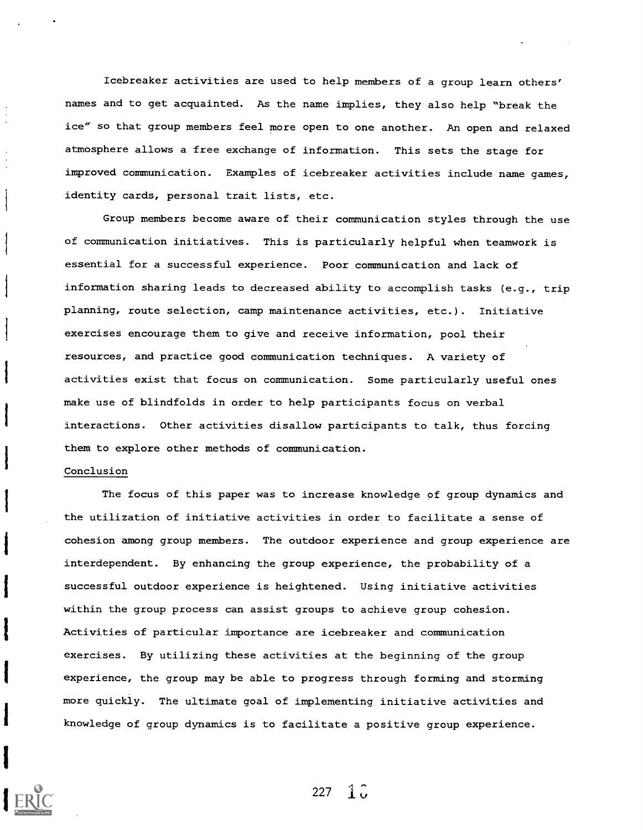Icebreaker activities are used to help members of a group learn others' names and to get acquainted. As the name implies, they also help "break the ice" so that group members feel more open to one another. An open and relaxed atmosphere allows a free exchange of information. This sets the stage for improved communication. Examples of icebreaker activities include name games, identity cards, personal trait lists, etc.

Group members become aware of their communication styles through the use of communication initiatives. This is particularly helpful when teamwork is essential for a successful experience. Poor communication and lack of information sharing leads to decreased ability to accomplish tasks (e.g., trip planning, route selection, camp maintenance activities, etc.). Initiative exercises encourage them to give and receive information, pool their resources, and practice good communication techniques. A variety of activities exist that focus on communication. Some particularly useful ones make use of blindfolds in order to help participants focus on verbal interactions. Other activities disallow participants to talk, thus forcing them to explore other methods of communication.

#### Conclusion

The focus of this paper was to increase knowledge of group dynamics and the utilization of initiative activities in order to facilitate a sense of cohesion among group members. The outdoor experience and group experience are interdependent. By enhancing the group experience, the probability of a successful outdoor experience is heightened. Using initiative activities within the group process can assist groups to achieve group cohesion. Activities of particular importance are icebreaker and communication exercises. By utilizing these activities at the beginning of the group experience, the group may be able to progress through forming and storming more quickly. The ultimate goal of implementing initiative activities and knowledge of group dynamics is to facilitate a positive group experience.



227 1 $\hat{u}$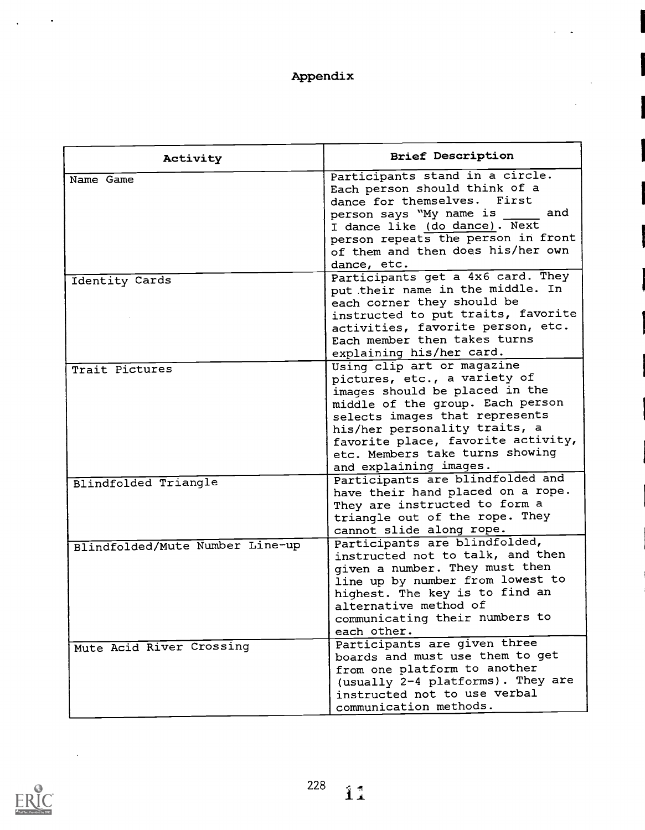## Appendix

| Activity                        | <b>Brief Description</b>           |  |  |  |  |
|---------------------------------|------------------------------------|--|--|--|--|
| Name Game                       | Participants stand in a circle.    |  |  |  |  |
|                                 | Each person should think of a      |  |  |  |  |
|                                 | dance for themselves. First        |  |  |  |  |
|                                 | person says "My name is<br>and     |  |  |  |  |
|                                 | I dance like (do dance). Next      |  |  |  |  |
|                                 | person repeats the person in front |  |  |  |  |
|                                 | of them and then does his/her own  |  |  |  |  |
|                                 | dance, etc.                        |  |  |  |  |
| Identity Cards                  | Participants get a 4x6 card. They  |  |  |  |  |
|                                 | put their name in the middle. In   |  |  |  |  |
|                                 | each corner they should be         |  |  |  |  |
|                                 | instructed to put traits, favorite |  |  |  |  |
|                                 | activities, favorite person, etc.  |  |  |  |  |
|                                 | Each member then takes turns       |  |  |  |  |
|                                 | explaining his/her card.           |  |  |  |  |
| Trait Pictures                  | Using clip art or magazine         |  |  |  |  |
|                                 | pictures, etc., a variety of       |  |  |  |  |
|                                 | images should be placed in the     |  |  |  |  |
|                                 | middle of the group. Each person   |  |  |  |  |
|                                 | selects images that represents     |  |  |  |  |
|                                 | his/her personality traits, a      |  |  |  |  |
|                                 | favorite place, favorite activity, |  |  |  |  |
|                                 | etc. Members take turns showing    |  |  |  |  |
|                                 | and explaining images.             |  |  |  |  |
|                                 | Participants are blindfolded and   |  |  |  |  |
| Blindfolded Triangle            | have their hand placed on a rope.  |  |  |  |  |
|                                 | They are instructed to form a      |  |  |  |  |
|                                 | triangle out of the rope. They     |  |  |  |  |
|                                 | cannot slide along rope.           |  |  |  |  |
|                                 | Participants are blindfolded,      |  |  |  |  |
| Blindfolded/Mute Number Line-up | instructed not to talk, and then   |  |  |  |  |
|                                 | given a number. They must then     |  |  |  |  |
|                                 | line up by number from lowest to   |  |  |  |  |
|                                 | highest. The key is to find an     |  |  |  |  |
|                                 | alternative method of              |  |  |  |  |
|                                 | communicating their numbers to     |  |  |  |  |
|                                 | each other.                        |  |  |  |  |
|                                 | Participants are given three       |  |  |  |  |
| Mute Acid River Crossing        | boards and must use them to get    |  |  |  |  |
|                                 | from one platform to another       |  |  |  |  |
|                                 | (usually 2-4 platforms). They are  |  |  |  |  |
|                                 | instructed not to use verbal       |  |  |  |  |
|                                 |                                    |  |  |  |  |
|                                 | communication methods.             |  |  |  |  |



 $\sim$   $\sim$ 

 $\bullet$ 

 $\ddot{\phantom{0}}$ 

 $\hat{1}^{\dagger}$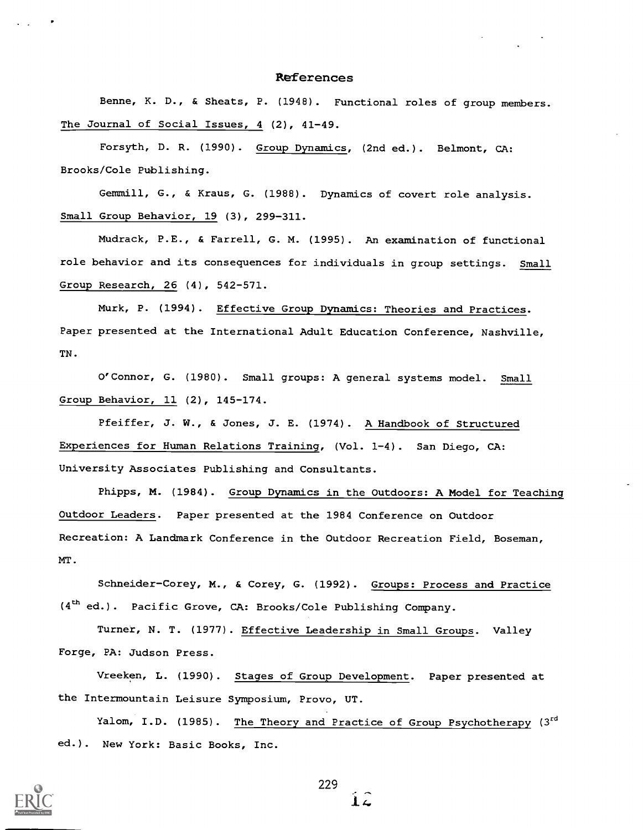#### References

Benne, K. D., & Sheats, P. (1948). Functional roles of group members. The Journal of Social Issues, 4 (2), 41-49.

Forsyth, D. R. (1990). Group Dynamics, (2nd ed.). Belmont, CA: Brooks/Cole Publishing.

Gemmill, G., & Kraus, G. (1988). Dynamics of covert role analysis. Small Group Behavior, 19 (3), 299-311.

Mudrack, P.E., & Farrell, G. M. (1995). An examination of functional role behavior and its consequences for individuals in group settings. Small Group Research, 26 (4), 542-571.

Murk, P. (1994). Effective Group Dynamics: Theories and Practices. Paper presented at the International Adult Education Conference, Nashville, TN.

O'Connor, G. (1980). Small groups: A general systems model. Small Group Behavior, 11 (2), 145-174.

Pfeiffer, J. W., & Jones, J. E. (1974). A Handbook of Structured Experiences for Human Relations Training, (Vol. 1-4). San Diego, CA: University Associates Publishing and Consultants.

Phipps, M. (1984). Group Dynamics in the Outdoors: A Model for Teaching Outdoor Leaders. Paper presented at the 1984 Conference on Outdoor Recreation: A Landmark Conference in the Outdoor Recreation Field, Boseman, MT.

Schneider-Corey, M., & Corey, G. (1992). Groups: Process and Practice (4<sup>th</sup> ed.). Pacific Grove, CA: Brooks/Cole Publishing Company.

Turner, N. T. (1977). Effective Leadership in Small Groups. Valley Forge, PA: Judson Press.

Vreeken, L. (1990). Stages of Group Development. Paper presented at the Intermountain Leisure Symposium, Provo, UT.

Yalom, I.D. (1985). <u>The Theory and Practice of Group Psychotherapy</u> (3<sup>rd</sup> ed.). New York: Basic Books, Inc.